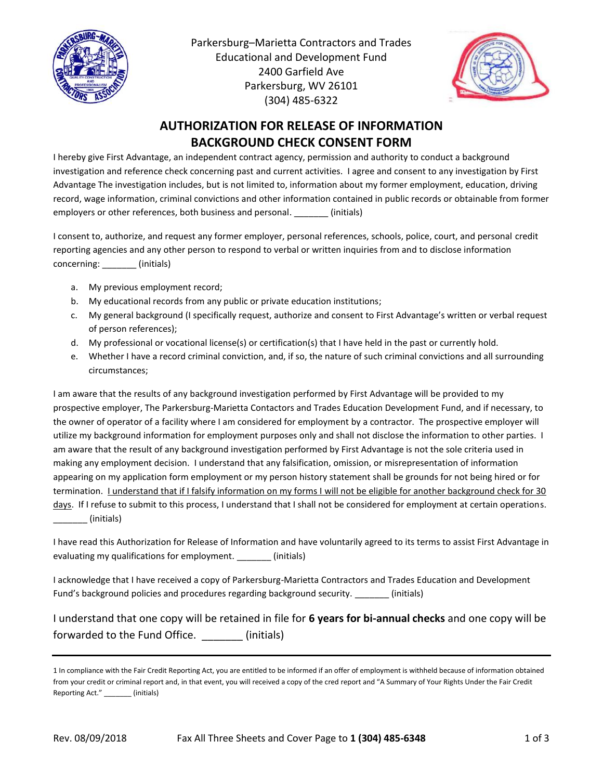

Parkersburg–Marietta Contractors and Trades Educational and Development Fund 2400 Garfield Ave Parkersburg, WV 26101 (304) 485-6322



## **AUTHORIZATION FOR RELEASE OF INFORMATION BACKGROUND CHECK CONSENT FORM**

I hereby give First Advantage, an independent contract agency, permission and authority to conduct a background investigation and reference check concerning past and current activities. I agree and consent to any investigation by First Advantage The investigation includes, but is not limited to, information about my former employment, education, driving record, wage information, criminal convictions and other information contained in public records or obtainable from former employers or other references, both business and personal. [initials]

I consent to, authorize, and request any former employer, personal references, schools, police, court, and personal credit reporting agencies and any other person to respond to verbal or written inquiries from and to disclose information concerning: (initials)

- a. My previous employment record;
- b. My educational records from any public or private education institutions;
- c. My general background (I specifically request, authorize and consent to First Advantage's written or verbal request of person references);
- d. My professional or vocational license(s) or certification(s) that I have held in the past or currently hold.
- e. Whether I have a record criminal conviction, and, if so, the nature of such criminal convictions and all surrounding circumstances;

I am aware that the results of any background investigation performed by First Advantage will be provided to my prospective employer, The Parkersburg-Marietta Contactors and Trades Education Development Fund, and if necessary, to the owner of operator of a facility where I am considered for employment by a contractor. The prospective employer will utilize my background information for employment purposes only and shall not disclose the information to other parties. I am aware that the result of any background investigation performed by First Advantage is not the sole criteria used in making any employment decision. I understand that any falsification, omission, or misrepresentation of information appearing on my application form employment or my person history statement shall be grounds for not being hired or for termination. I understand that if I falsify information on my forms I will not be eligible for another background check for 30 days. If I refuse to submit to this process, I understand that I shall not be considered for employment at certain operations.  $\sqrt{ }$  (initials)

I have read this Authorization for Release of Information and have voluntarily agreed to its terms to assist First Advantage in evaluating my qualifications for employment. \_\_\_\_\_\_\_ (initials)

I acknowledge that I have received a copy of Parkersburg-Marietta Contractors and Trades Education and Development Fund's background policies and procedures regarding background security. \_\_\_\_\_\_\_\_ (initials)

I understand that one copy will be retained in file for **6 years for bi-annual checks** and one copy will be forwarded to the Fund Office. (initials)

<sup>1</sup> In compliance with the Fair Credit Reporting Act, you are entitled to be informed if an offer of employment is withheld because of information obtained from your credit or criminal report and, in that event, you will received a copy of the cred report and "A Summary of Your Rights Under the Fair Credit Reporting Act." \_\_\_\_\_\_\_ (initials)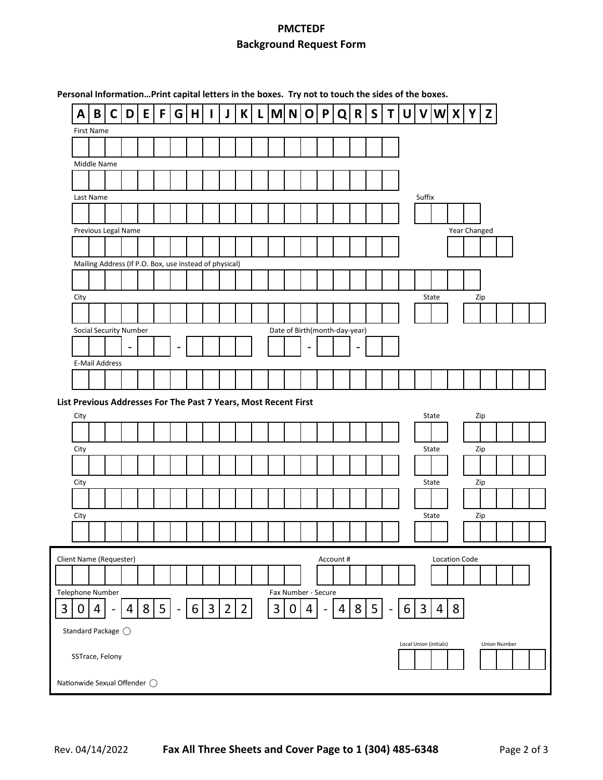## **PMCTEDF Background Request Form**

| Personal InformationPrint capital letters in the boxes. Try not to touch the sides of the boxes. |                  |                              |                          |                |                                                                 |                          |          |                |          |                |   |                |       |                     |   |                               |                |              |                |   |                        |       |                      |              |     |   |                     |  |
|--------------------------------------------------------------------------------------------------|------------------|------------------------------|--------------------------|----------------|-----------------------------------------------------------------|--------------------------|----------|----------------|----------|----------------|---|----------------|-------|---------------------|---|-------------------------------|----------------|--------------|----------------|---|------------------------|-------|----------------------|--------------|-----|---|---------------------|--|
| A                                                                                                | $\, {\bf B}$     | C                            | D                        | E              | F                                                               | $\mathsf{G}$             | H        |                | J        | K              | L |                | $M$ N | $\mathbf 0$         | P | Q                             | R              | $\mathsf{S}$ | T              | U | $\mathbf v$            |       | W X                  |              | Υ   | Z |                     |  |
|                                                                                                  | First Name       |                              |                          |                |                                                                 |                          |          |                |          |                |   |                |       |                     |   |                               |                |              |                |   |                        |       |                      |              |     |   |                     |  |
|                                                                                                  |                  |                              |                          |                |                                                                 |                          |          |                |          |                |   |                |       |                     |   |                               |                |              |                |   |                        |       |                      |              |     |   |                     |  |
|                                                                                                  | Middle Name      |                              |                          |                |                                                                 |                          |          |                |          |                |   |                |       |                     |   |                               |                |              |                |   |                        |       |                      |              |     |   |                     |  |
|                                                                                                  |                  |                              |                          |                |                                                                 |                          |          |                |          |                |   |                |       |                     |   |                               |                |              |                |   |                        |       |                      |              |     |   |                     |  |
|                                                                                                  | Last Name        |                              |                          |                |                                                                 |                          |          |                |          |                |   |                |       |                     |   |                               |                |              |                |   | Suffix                 |       |                      |              |     |   |                     |  |
|                                                                                                  |                  |                              |                          |                |                                                                 |                          |          |                |          |                |   |                |       |                     |   |                               |                |              |                |   |                        |       |                      |              |     |   |                     |  |
|                                                                                                  |                  |                              | Previous Legal Name      |                |                                                                 |                          |          |                |          |                |   |                |       |                     |   |                               |                |              |                |   |                        |       |                      | Year Changed |     |   |                     |  |
|                                                                                                  |                  |                              |                          |                |                                                                 |                          |          |                |          |                |   |                |       |                     |   |                               |                |              |                |   |                        |       |                      |              |     |   |                     |  |
|                                                                                                  |                  |                              |                          |                | Mailing Address (If P.O. Box, use instead of physical)          |                          |          |                |          |                |   |                |       |                     |   |                               |                |              |                |   |                        |       |                      |              |     |   |                     |  |
|                                                                                                  |                  |                              |                          |                |                                                                 |                          |          |                |          |                |   |                |       |                     |   |                               |                |              |                |   |                        |       |                      |              |     |   |                     |  |
| City                                                                                             |                  |                              |                          |                |                                                                 |                          |          |                |          |                |   |                |       |                     |   |                               |                |              |                |   |                        | State |                      |              | Zip |   |                     |  |
|                                                                                                  |                  |                              |                          |                |                                                                 |                          |          |                |          |                |   |                |       |                     |   |                               |                |              |                |   |                        |       |                      |              |     |   |                     |  |
|                                                                                                  |                  |                              | Social Security Number   |                |                                                                 |                          |          |                |          |                |   |                |       |                     |   | Date of Birth(month-day-year) |                |              |                |   |                        |       |                      |              |     |   |                     |  |
|                                                                                                  |                  |                              | $\overline{\phantom{a}}$ |                |                                                                 |                          |          |                |          |                |   |                |       |                     |   |                               |                |              |                |   |                        |       |                      |              |     |   |                     |  |
|                                                                                                  |                  | <b>E-Mail Address</b>        |                          |                |                                                                 |                          |          |                |          |                |   |                |       |                     |   |                               |                |              |                |   |                        |       |                      |              |     |   |                     |  |
|                                                                                                  |                  |                              |                          |                |                                                                 |                          |          |                |          |                |   |                |       |                     |   |                               |                |              |                |   |                        |       |                      |              |     |   |                     |  |
|                                                                                                  |                  |                              |                          |                |                                                                 |                          |          |                |          |                |   |                |       |                     |   |                               |                |              |                |   |                        |       |                      |              |     |   |                     |  |
| City                                                                                             |                  |                              |                          |                | List Previous Addresses For The Past 7 Years, Most Recent First |                          |          |                |          |                |   |                |       |                     |   |                               |                |              |                |   |                        | State |                      |              | Zip |   |                     |  |
|                                                                                                  |                  |                              |                          |                |                                                                 |                          |          |                |          |                |   |                |       |                     |   |                               |                |              |                |   |                        |       |                      |              |     |   |                     |  |
|                                                                                                  |                  |                              |                          |                |                                                                 |                          |          |                |          |                |   |                |       |                     |   |                               |                |              |                |   |                        |       |                      |              |     |   |                     |  |
| City                                                                                             |                  |                              |                          |                |                                                                 |                          |          |                |          |                |   |                |       |                     |   |                               |                |              |                |   |                        | State |                      |              | Zip |   |                     |  |
|                                                                                                  |                  |                              |                          |                |                                                                 |                          |          |                |          |                |   |                |       |                     |   |                               |                |              |                |   |                        |       |                      |              |     |   |                     |  |
| City                                                                                             |                  |                              |                          |                |                                                                 |                          |          |                |          |                |   |                |       |                     |   |                               |                |              |                |   |                        | State |                      |              | Zip |   |                     |  |
|                                                                                                  |                  |                              |                          |                |                                                                 |                          |          |                |          |                |   |                |       |                     |   |                               |                |              |                |   |                        |       |                      |              |     |   |                     |  |
| City                                                                                             |                  |                              |                          |                |                                                                 |                          |          |                |          |                |   |                |       |                     |   |                               |                |              |                |   |                        | State |                      |              | Zip |   |                     |  |
|                                                                                                  |                  |                              |                          |                |                                                                 |                          |          |                |          |                |   |                |       |                     |   |                               |                |              |                |   |                        |       |                      |              |     |   |                     |  |
|                                                                                                  |                  | Client Name (Requester)      |                          |                |                                                                 |                          |          |                |          |                |   |                |       |                     |   | Account #                     |                |              |                |   |                        |       | <b>Location Code</b> |              |     |   |                     |  |
|                                                                                                  |                  |                              |                          |                |                                                                 |                          |          |                |          |                |   |                |       |                     |   |                               |                |              |                |   |                        |       |                      |              |     |   |                     |  |
|                                                                                                  | Telephone Number |                              |                          |                |                                                                 |                          |          |                |          |                |   |                |       | Fax Number - Secure |   |                               |                |              |                |   |                        |       |                      |              |     |   |                     |  |
| 0                                                                                                | 4                | $\overline{\phantom{0}}$     | 4                        | 8 <sup>1</sup> | 5 <sup>1</sup>                                                  | $\overline{\phantom{0}}$ | $6 \mid$ | $\overline{3}$ | $2 \mid$ | $\overline{2}$ |   | $\overline{3}$ | 0     | 4                   |   | 4                             | 8 <sup>1</sup> | 5            | $\blacksquare$ | 6 | $\overline{3}$         | 4     | 8                    |              |     |   |                     |  |
| Standard Package (                                                                               |                  |                              |                          |                |                                                                 |                          |          |                |          |                |   |                |       |                     |   |                               |                |              |                |   |                        |       |                      |              |     |   |                     |  |
| SSTrace, Felony                                                                                  |                  |                              |                          |                |                                                                 |                          |          |                |          |                |   |                |       |                     |   |                               |                |              |                |   | Local Union (initials) |       |                      |              |     |   | <b>Union Number</b> |  |
|                                                                                                  |                  | Nationwide Sexual Offender ( |                          |                |                                                                 |                          |          |                |          |                |   |                |       |                     |   |                               |                |              |                |   |                        |       |                      |              |     |   |                     |  |